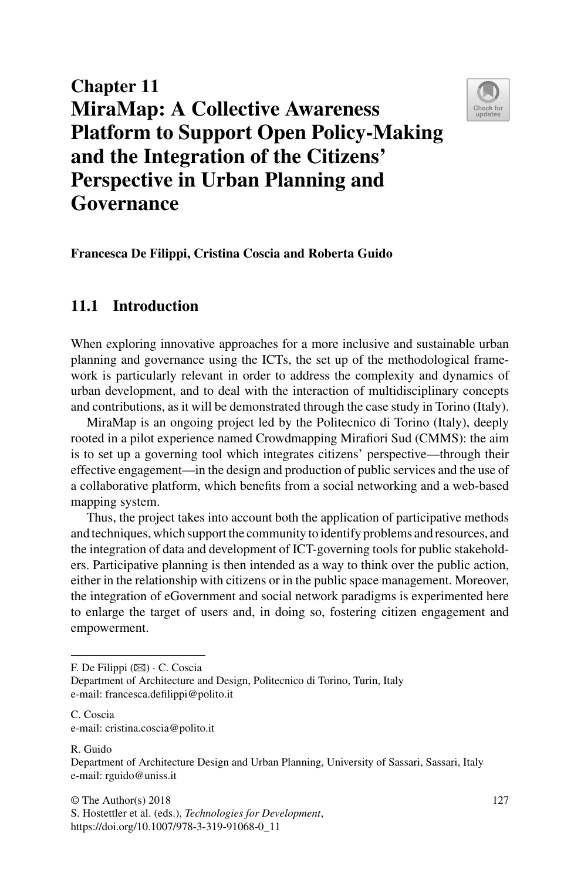# **Chapter 11 MiraMap: A Collective Awareness Platform to Support Open Policy-Making and the Integration of the Citizens' Perspective in Urban Planning and Governance**



#### **Francesca De Filippi, Cristina Coscia and Roberta Guido**

### **11.1 Introduction**

When exploring innovative approaches for a more inclusive and sustainable urban planning and governance using the ICTs, the set up of the methodological framework is particularly relevant in order to address the complexity and dynamics of urban development, and to deal with the interaction of multidisciplinary concepts and contributions, as it will be demonstrated through the case study in Torino (Italy).

MiraMap is an ongoing project led by the Politecnico di Torino (Italy), deeply rooted in a pilot experience named Crowdmapping Mirafiori Sud (CMMS): the aim is to set up a governing tool which integrates citizens' perspective—through their effective engagement—in the design and production of public services and the use of a collaborative platform, which benefits from a social networking and a web-based mapping system.

Thus, the project takes into account both the application of participative methods and techniques, which support the community to identify problems and resources, and the integration of data and development of ICT-governing tools for public stakeholders. Participative planning is then intended as a way to think over the public action, either in the relationship with citizens or in the public space management. Moreover, the integration of eGovernment and social network paradigms is experimented here to enlarge the target of users and, in doing so, fostering citizen engagement and empowerment.

F. De Filippi (⊠) · C. Coscia

C. Coscia e-mail: cristina.coscia@polito.it

R. Guido

Department of Architecture Design and Urban Planning, University of Sassari, Sassari, Italy e-mail: rguido@uniss.it

Department of Architecture and Design, Politecnico di Torino, Turin, Italy e-mail: francesca.defilippi@polito.it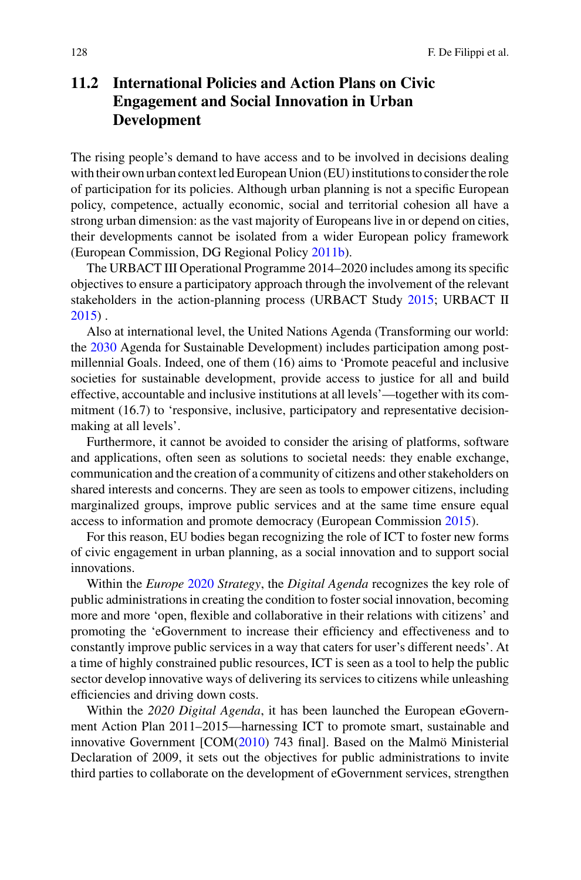# **11.2 International Policies and Action Plans on Civic Engagement and Social Innovation in Urban Development**

The rising people's demand to have access and to be involved in decisions dealing with their own urban context led European Union (EU) institutions to consider the role of participation for its policies. Although urban planning is not a specific European policy, competence, actually economic, social and territorial cohesion all have a strong urban dimension: as the vast majority of Europeans live in or depend on cities, their developments cannot be isolated from a wider European policy framework (European Commission, DG Regional Policy [2011b\)](#page-10-0).

The URBACT III Operational Programme 2014–2020 includes among its specific objectives to ensure a participatory approach through the involvement of the relevant stakeholders in the action-planning process (URBACT Study [2015;](#page-11-0) URBACT II [2015\)](#page-11-1) .

Also at international level, the United Nations Agenda (Transforming our world: the [2030](#page-11-2) Agenda for Sustainable Development) includes participation among postmillennial Goals. Indeed, one of them (16) aims to 'Promote peaceful and inclusive societies for sustainable development, provide access to justice for all and build effective, accountable and inclusive institutions at all levels'—together with its commitment (16.7) to 'responsive, inclusive, participatory and representative decisionmaking at all levels'.

Furthermore, it cannot be avoided to consider the arising of platforms, software and applications, often seen as solutions to societal needs: they enable exchange, communication and the creation of a community of citizens and other stakeholders on shared interests and concerns. They are seen as tools to empower citizens, including marginalized groups, improve public services and at the same time ensure equal access to information and promote democracy (European Commission [2015\)](#page-10-1).

For this reason, EU bodies began recognizing the role of ICT to foster new forms of civic engagement in urban planning, as a social innovation and to support social innovations.

Within the *Europe* [2020](#page-11-3) *Strategy*, the *Digital Agenda* recognizes the key role of public administrations in creating the condition to foster social innovation, becoming more and more 'open, flexible and collaborative in their relations with citizens' and promoting the 'eGovernment to increase their efficiency and effectiveness and to constantly improve public services in a way that caters for user's different needs'. At a time of highly constrained public resources, ICT is seen as a tool to help the public sector develop innovative ways of delivering its services to citizens while unleashing efficiencies and driving down costs.

Within the *2020 Digital Agenda*, it has been launched the European eGovernment Action Plan 2011–2015—harnessing ICT to promote smart, sustainable and innovative Government [COM[\(2010\)](#page-11-4) 743 final]. Based on the Malmö Ministerial Declaration of 2009, it sets out the objectives for public administrations to invite third parties to collaborate on the development of eGovernment services, strengthen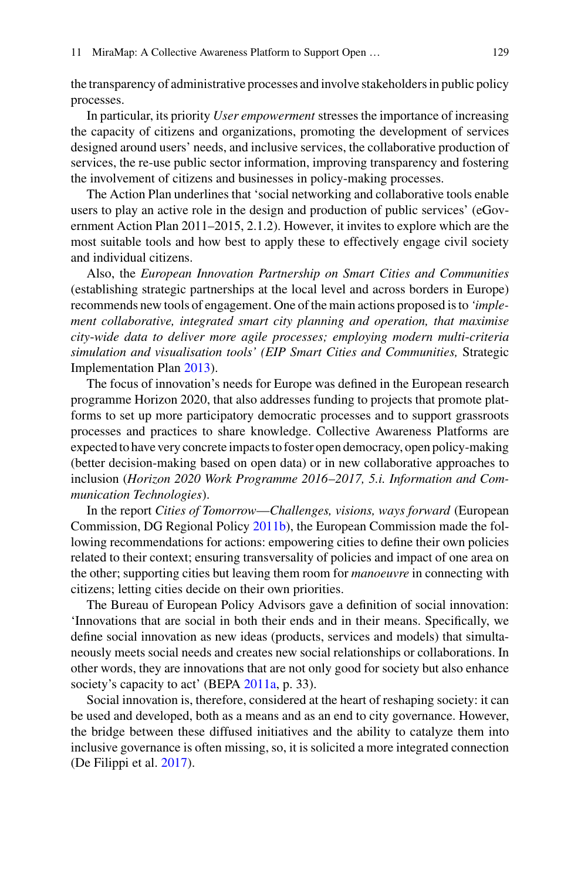the transparency of administrative processes and involve stakeholders in public policy processes.

In particular, its priority *User empowerment* stresses the importance of increasing the capacity of citizens and organizations, promoting the development of services designed around users' needs, and inclusive services, the collaborative production of services, the re-use public sector information, improving transparency and fostering the involvement of citizens and businesses in policy-making processes.

The Action Plan underlines that 'social networking and collaborative tools enable users to play an active role in the design and production of public services' (eGovernment Action Plan 2011–2015, 2.1.2). However, it invites to explore which are the most suitable tools and how best to apply these to effectively engage civil society and individual citizens.

Also, the *European Innovation Partnership on Smart Cities and Communities* (establishing strategic partnerships at the local level and across borders in Europe) recommends new tools of engagement. One of the main actions proposed is to *'implement collaborative, integrated smart city planning and operation, that maximise city*-*wide data to deliver more agile processes; employing modern multi*-*criteria simulation and visualisation tools' (EIP Smart Cities and Communities,* Strategic Implementation Plan [2013\)](#page-11-5).

The focus of innovation's needs for Europe was defined in the European research programme Horizon 2020, that also addresses funding to projects that promote platforms to set up more participatory democratic processes and to support grassroots processes and practices to share knowledge. Collective Awareness Platforms are expected to have very concrete impacts to foster open democracy, open policy-making (better decision-making based on open data) or in new collaborative approaches to inclusion (*Horizon 2020 Work Programme 2016*–*2017, 5.i. Information and Communication Technologies*).

In the report *Cities of Tomorrow*—*Challenges, visions, ways forward* (European Commission, DG Regional Policy [2011b\)](#page-10-0), the European Commission made the following recommendations for actions: empowering cities to define their own policies related to their context; ensuring transversality of policies and impact of one area on the other; supporting cities but leaving them room for *manoeuvre* in connecting with citizens; letting cities decide on their own priorities.

The Bureau of European Policy Advisors gave a definition of social innovation: 'Innovations that are social in both their ends and in their means. Specifically, we define social innovation as new ideas (products, services and models) that simultaneously meets social needs and creates new social relationships or collaborations. In other words, they are innovations that are not only good for society but also enhance society's capacity to act' (BEPA [2011a,](#page-10-2) p. 33).

Social innovation is, therefore, considered at the heart of reshaping society: it can be used and developed, both as a means and as an end to city governance. However, the bridge between these diffused initiatives and the ability to catalyze them into inclusive governance is often missing, so, it is solicited a more integrated connection (De Filippi et al. [2017\)](#page-11-6).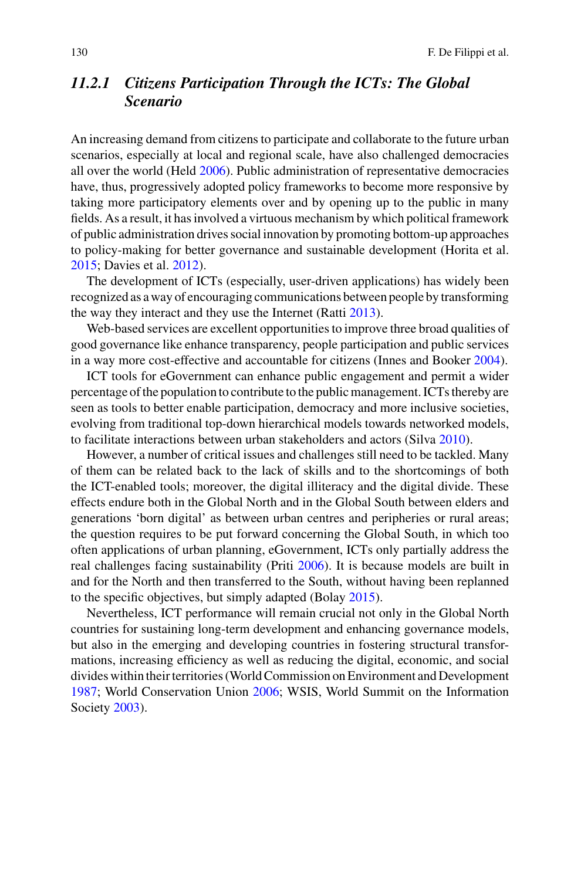# *11.2.1 Citizens Participation Through the ICTs: The Global Scenario*

An increasing demand from citizens to participate and collaborate to the future urban scenarios, especially at local and regional scale, have also challenged democracies all over the world (Held [2006\)](#page-10-3). Public administration of representative democracies have, thus, progressively adopted policy frameworks to become more responsive by taking more participatory elements over and by opening up to the public in many fields. As a result, it has involved a virtuous mechanism by which political framework of public administration drives social innovation by promoting bottom-up approaches to policy-making for better governance and sustainable development (Horita et al. [2015;](#page-10-4) Davies et al. [2012\)](#page-11-7).

The development of ICTs (especially, user-driven applications) has widely been recognized as a way of encouraging communications between people by transforming the way they interact and they use the Internet (Ratti [2013\)](#page-10-5).

Web-based services are excellent opportunities to improve three broad qualities of good governance like enhance transparency, people participation and public services in a way more cost-effective and accountable for citizens (Innes and Booker [2004\)](#page-11-8).

ICT tools for eGovernment can enhance public engagement and permit a wider percentage of the population to contribute to the public management. ICTs thereby are seen as tools to better enable participation, democracy and more inclusive societies, evolving from traditional top-down hierarchical models towards networked models, to facilitate interactions between urban stakeholders and actors (Silva [2010\)](#page-10-6).

However, a number of critical issues and challenges still need to be tackled. Many of them can be related back to the lack of skills and to the shortcomings of both the ICT-enabled tools; moreover, the digital illiteracy and the digital divide. These effects endure both in the Global North and in the Global South between elders and generations 'born digital' as between urban centres and peripheries or rural areas; the question requires to be put forward concerning the Global South, in which too often applications of urban planning, eGovernment, ICTs only partially address the real challenges facing sustainability (Priti [2006\)](#page-11-9). It is because models are built in and for the North and then transferred to the South, without having been replanned to the specific objectives, but simply adapted (Bolay [2015\)](#page-11-10).

Nevertheless, ICT performance will remain crucial not only in the Global North countries for sustaining long-term development and enhancing governance models, but also in the emerging and developing countries in fostering structural transformations, increasing efficiency as well as reducing the digital, economic, and social divides within their territories (World Commission on Environment and Development [1987;](#page-12-0) World Conservation Union [2006;](#page-12-1) WSIS, World Summit on the Information Society [2003\)](#page-12-2).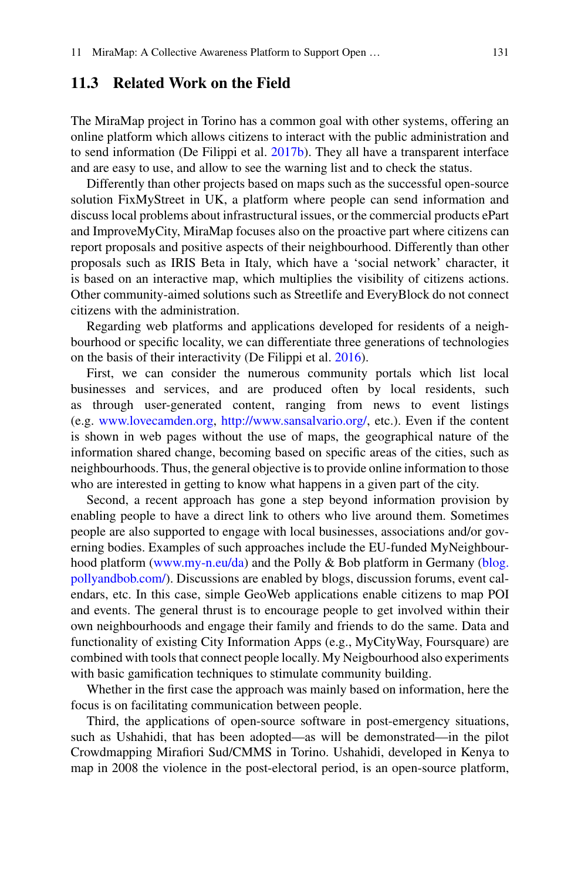#### **11.3 Related Work on the Field**

The MiraMap project in Torino has a common goal with other systems, offering an online platform which allows citizens to interact with the public administration and to send information (De Filippi et al. [2017b\)](#page-11-6). They all have a transparent interface and are easy to use, and allow to see the warning list and to check the status.

Differently than other projects based on maps such as the successful open-source solution FixMyStreet in UK, a platform where people can send information and discuss local problems about infrastructural issues, or the commercial products ePart and ImproveMyCity, MiraMap focuses also on the proactive part where citizens can report proposals and positive aspects of their neighbourhood. Differently than other proposals such as IRIS Beta in Italy, which have a 'social network' character, it is based on an interactive map, which multiplies the visibility of citizens actions. Other community-aimed solutions such as Streetlife and EveryBlock do not connect citizens with the administration.

Regarding web platforms and applications developed for residents of a neighbourhood or specific locality, we can differentiate three generations of technologies on the basis of their interactivity (De Filippi et al. [2016\)](#page-11-11).

First, we can consider the numerous community portals which list local businesses and services, and are produced often by local residents, such as through user-generated content, ranging from news to event listings (e.g. [www.lovecamden.org,](http://www.lovecamden.org) [http://www.sansalvario.org/,](http://www.sansalvario.org/) etc.). Even if the content is shown in web pages without the use of maps, the geographical nature of the information shared change, becoming based on specific areas of the cities, such as neighbourhoods. Thus, the general objective is to provide online information to those who are interested in getting to know what happens in a given part of the city.

Second, a recent approach has gone a step beyond information provision by enabling people to have a direct link to others who live around them. Sometimes people are also supported to engage with local businesses, associations and/or governing bodies. Examples of such approaches include the EU-funded MyNeighbour-hood platform [\(www.my-n.eu/da\)](http://www.my-n.eu/da) and the Polly & Bob platform in Germany (blog. [pollyandbob.com/\). Discussions are enabled by blogs, discussion forums, event cal](http://www.blog.pollyandbob.com/)endars, etc. In this case, simple GeoWeb applications enable citizens to map POI and events. The general thrust is to encourage people to get involved within their own neighbourhoods and engage their family and friends to do the same. Data and functionality of existing City Information Apps (e.g., MyCityWay, Foursquare) are combined with tools that connect people locally. My Neigbourhood also experiments with basic gamification techniques to stimulate community building.

Whether in the first case the approach was mainly based on information, here the focus is on facilitating communication between people.

Third, the applications of open-source software in post-emergency situations, such as Ushahidi, that has been adopted—as will be demonstrated—in the pilot Crowdmapping Mirafiori Sud/CMMS in Torino. Ushahidi, developed in Kenya to map in 2008 the violence in the post-electoral period, is an open-source platform,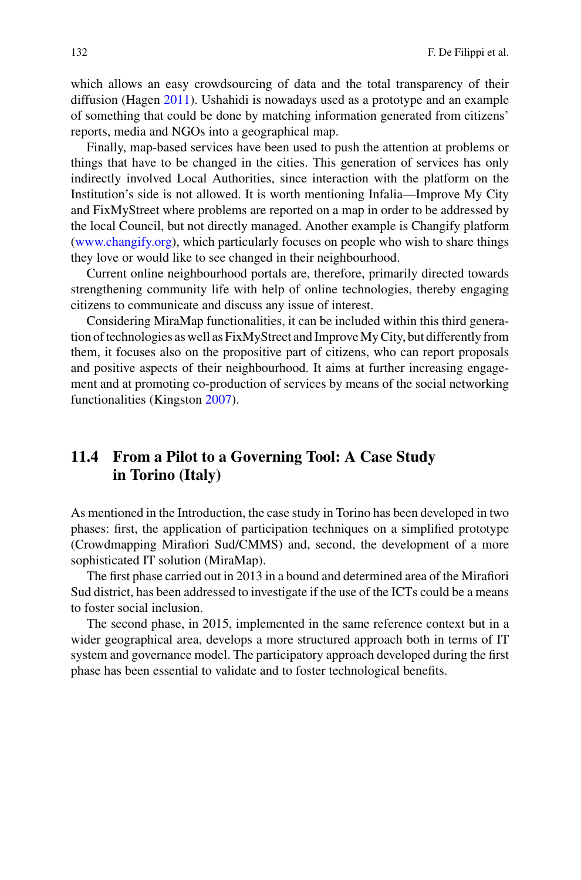which allows an easy crowdsourcing of data and the total transparency of their diffusion (Hagen [2011\)](#page-11-12). Ushahidi is nowadays used as a prototype and an example of something that could be done by matching information generated from citizens' reports, media and NGOs into a geographical map.

Finally, map-based services have been used to push the attention at problems or things that have to be changed in the cities. This generation of services has only indirectly involved Local Authorities, since interaction with the platform on the Institution's side is not allowed. It is worth mentioning Infalia—Improve My City and FixMyStreet where problems are reported on a map in order to be addressed by the local Council, but not directly managed. Another example is Changify platform [\(www.changify.org\)](http://www.changify.org), which particularly focuses on people who wish to share things they love or would like to see changed in their neighbourhood.

Current online neighbourhood portals are, therefore, primarily directed towards strengthening community life with help of online technologies, thereby engaging citizens to communicate and discuss any issue of interest.

Considering MiraMap functionalities, it can be included within this third generation of technologies as well as FixMyStreet and ImproveMy City, but differently from them, it focuses also on the propositive part of citizens, who can report proposals and positive aspects of their neighbourhood. It aims at further increasing engagement and at promoting co-production of services by means of the social networking functionalities (Kingston [2007\)](#page-11-13).

## **11.4 From a Pilot to a Governing Tool: A Case Study in Torino (Italy)**

As mentioned in the Introduction, the case study in Torino has been developed in two phases: first, the application of participation techniques on a simplified prototype (Crowdmapping Mirafiori Sud/CMMS) and, second, the development of a more sophisticated IT solution (MiraMap).

The first phase carried out in 2013 in a bound and determined area of the Mirafiori Sud district, has been addressed to investigate if the use of the ICTs could be a means to foster social inclusion.

The second phase, in 2015, implemented in the same reference context but in a wider geographical area, develops a more structured approach both in terms of IT system and governance model. The participatory approach developed during the first phase has been essential to validate and to foster technological benefits.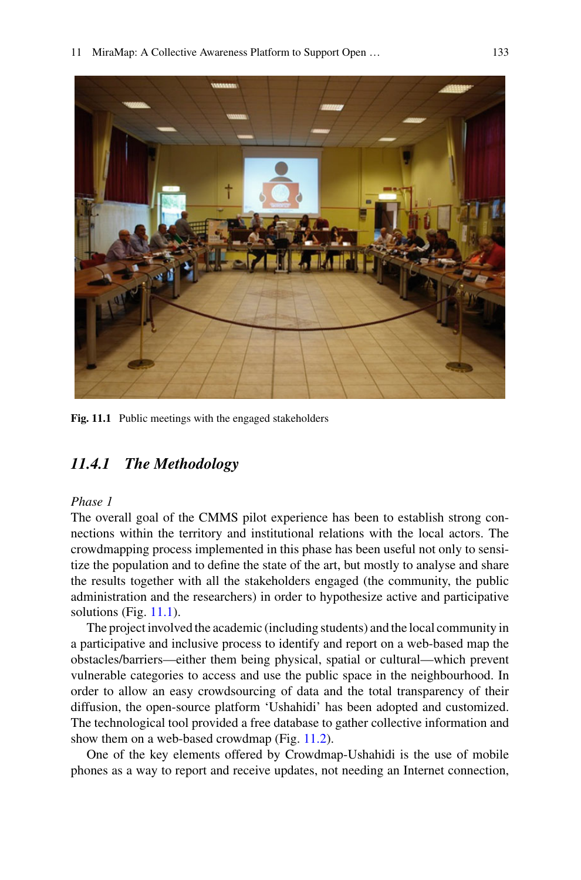

Fig. 11.1 Public meetings with the engaged stakeholders

### <span id="page-6-0"></span>*11.4.1 The Methodology*

#### *Phase 1*

The overall goal of the CMMS pilot experience has been to establish strong connections within the territory and institutional relations with the local actors. The crowdmapping process implemented in this phase has been useful not only to sensitize the population and to define the state of the art, but mostly to analyse and share the results together with all the stakeholders engaged (the community, the public administration and the researchers) in order to hypothesize active and participative solutions (Fig.  $11.1$ ).

The project involved the academic (including students) and the local community in a participative and inclusive process to identify and report on a web-based map the obstacles/barriers—either them being physical, spatial or cultural—which prevent vulnerable categories to access and use the public space in the neighbourhood. In order to allow an easy crowdsourcing of data and the total transparency of their diffusion, the open-source platform 'Ushahidi' has been adopted and customized. The technological tool provided a free database to gather collective information and show them on a web-based crowdmap (Fig. [11.2\)](#page-7-0).

One of the key elements offered by Crowdmap-Ushahidi is the use of mobile phones as a way to report and receive updates, not needing an Internet connection,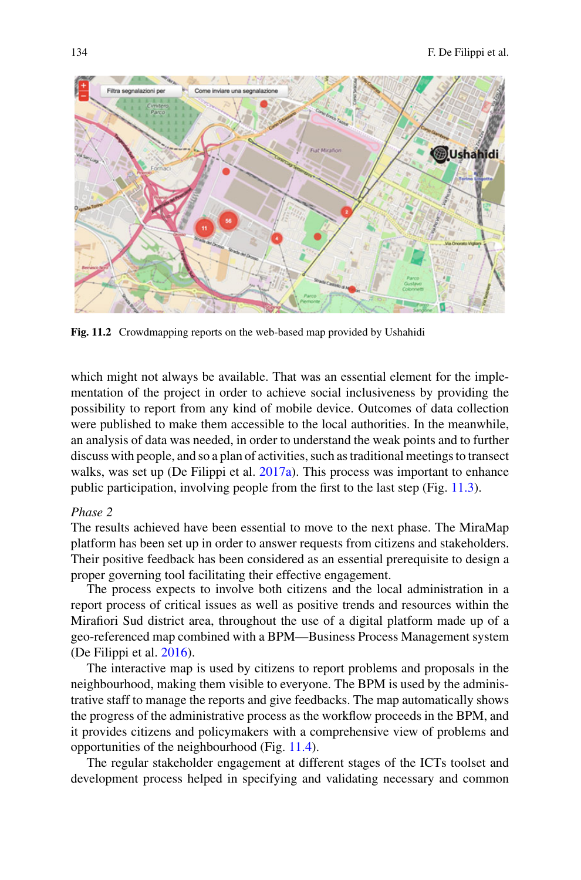

<span id="page-7-0"></span>**Fig. 11.2** Crowdmapping reports on the web-based map provided by Ushahidi

which might not always be available. That was an essential element for the implementation of the project in order to achieve social inclusiveness by providing the possibility to report from any kind of mobile device. Outcomes of data collection were published to make them accessible to the local authorities. In the meanwhile, an analysis of data was needed, in order to understand the weak points and to further discuss with people, and so a plan of activities, such as traditional meetings to transect walks, was set up (De Filippi et al. [2017a\)](#page-11-14). This process was important to enhance public participation, involving people from the first to the last step (Fig. [11.3\)](#page-8-0).

#### *Phase 2*

The results achieved have been essential to move to the next phase. The MiraMap platform has been set up in order to answer requests from citizens and stakeholders. Their positive feedback has been considered as an essential prerequisite to design a proper governing tool facilitating their effective engagement.

The process expects to involve both citizens and the local administration in a report process of critical issues as well as positive trends and resources within the Mirafiori Sud district area, throughout the use of a digital platform made up of a geo-referenced map combined with a BPM—Business Process Management system (De Filippi et al. [2016\)](#page-11-11).

The interactive map is used by citizens to report problems and proposals in the neighbourhood, making them visible to everyone. The BPM is used by the administrative staff to manage the reports and give feedbacks. The map automatically shows the progress of the administrative process as the workflow proceeds in the BPM, and it provides citizens and policymakers with a comprehensive view of problems and opportunities of the neighbourhood (Fig. [11.4\)](#page-9-0).

The regular stakeholder engagement at different stages of the ICTs toolset and development process helped in specifying and validating necessary and common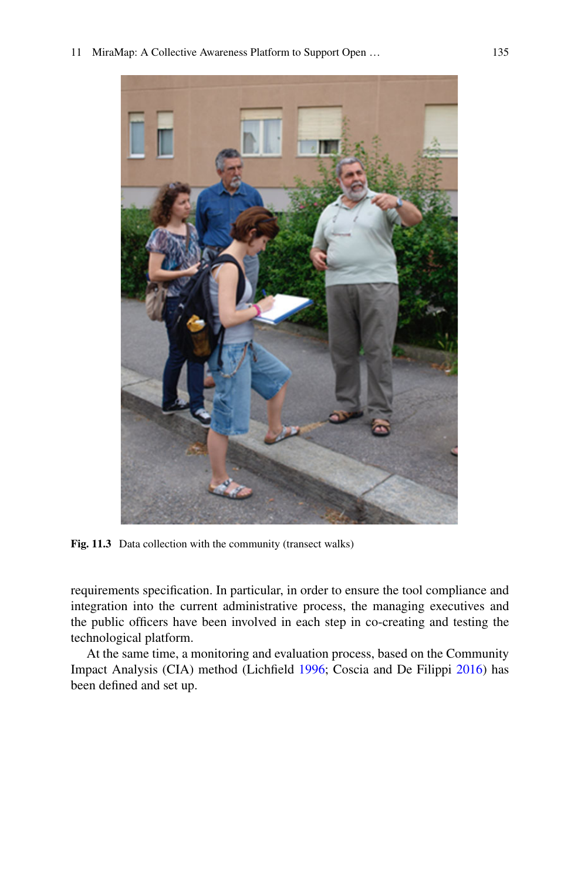

Fig. 11.3 Data collection with the community (transect walks)

<span id="page-8-0"></span>requirements specification. In particular, in order to ensure the tool compliance and integration into the current administrative process, the managing executives and the public officers have been involved in each step in co-creating and testing the technological platform.

At the same time, a monitoring and evaluation process, based on the Community Impact Analysis (CIA) method (Lichfield [1996;](#page-10-7) Coscia and De Filippi [2016\)](#page-11-15) has been defined and set up.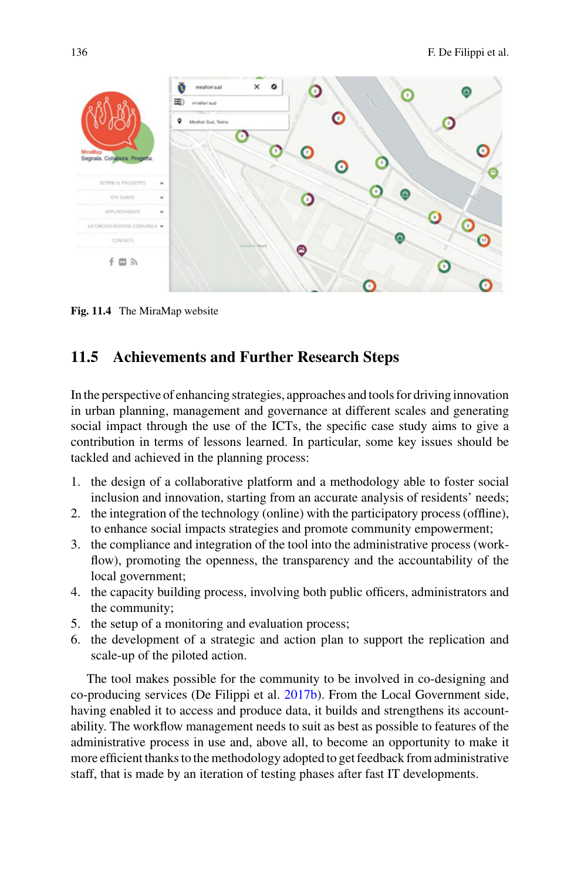

**Fig. 11.4** The MiraMap website

# <span id="page-9-0"></span>**11.5 Achievements and Further Research Steps**

In the perspective of enhancing strategies, approaches and tools for driving innovation in urban planning, management and governance at different scales and generating social impact through the use of the ICTs, the specific case study aims to give a contribution in terms of lessons learned. In particular, some key issues should be tackled and achieved in the planning process:

- 1. the design of a collaborative platform and a methodology able to foster social inclusion and innovation, starting from an accurate analysis of residents' needs;
- 2. the integration of the technology (online) with the participatory process (offline), to enhance social impacts strategies and promote community empowerment;
- 3. the compliance and integration of the tool into the administrative process (workflow), promoting the openness, the transparency and the accountability of the local government;
- 4. the capacity building process, involving both public officers, administrators and the community;
- 5. the setup of a monitoring and evaluation process;
- 6. the development of a strategic and action plan to support the replication and scale-up of the piloted action.

The tool makes possible for the community to be involved in co-designing and co-producing services (De Filippi et al. [2017b\)](#page-11-6). From the Local Government side, having enabled it to access and produce data, it builds and strengthens its accountability. The workflow management needs to suit as best as possible to features of the administrative process in use and, above all, to become an opportunity to make it more efficient thanks to the methodology adopted to get feedback from administrative staff, that is made by an iteration of testing phases after fast IT developments.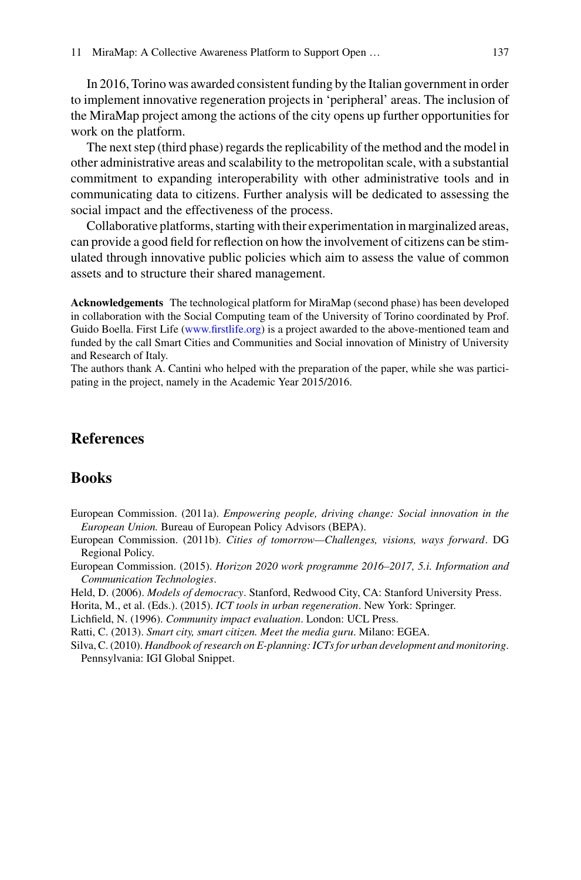In 2016, Torino was awarded consistent funding by the Italian government in order to implement innovative regeneration projects in 'peripheral' areas. The inclusion of the MiraMap project among the actions of the city opens up further opportunities for work on the platform.

The next step (third phase) regards the replicability of the method and the model in other administrative areas and scalability to the metropolitan scale, with a substantial commitment to expanding interoperability with other administrative tools and in communicating data to citizens. Further analysis will be dedicated to assessing the social impact and the effectiveness of the process.

Collaborative platforms, starting with their experimentation in marginalized areas, can provide a good field for reflection on how the involvement of citizens can be stimulated through innovative public policies which aim to assess the value of common assets and to structure their shared management.

**Acknowledgements** The technological platform for MiraMap (second phase) has been developed in collaboration with the Social Computing team of the University of Torino coordinated by Prof. Guido Boella. First Life [\(www.firstlife.org\)](http://www.firstlife.org) is a project awarded to the above-mentioned team and funded by the call Smart Cities and Communities and Social innovation of Ministry of University and Research of Italy.

The authors thank A. Cantini who helped with the preparation of the paper, while she was participating in the project, namely in the Academic Year 2015/2016.

### **References**

#### **Books**

<span id="page-10-2"></span>European Commission. (2011a). *Empowering people, driving change: Social innovation in the European Union.* Bureau of European Policy Advisors (BEPA).

<span id="page-10-0"></span>European Commission. (2011b). *Cities of tomorrow—Challenges, visions, ways forward*. DG Regional Policy.

<span id="page-10-1"></span>European Commission. (2015). *Horizon 2020 work programme 2016–2017, 5.i. Information and Communication Technologies*.

<span id="page-10-3"></span>Held, D. (2006). *Models of democracy*. Stanford, Redwood City, CA: Stanford University Press.

<span id="page-10-4"></span>Horita, M., et al. (Eds.). (2015). *ICT tools in urban regeneration*. New York: Springer.

<span id="page-10-7"></span>Lichfield, N. (1996). *Community impact evaluation*. London: UCL Press.

<span id="page-10-5"></span>Ratti, C. (2013). *Smart city, smart citizen. Meet the media guru*. Milano: EGEA.

<span id="page-10-6"></span>Silva, C. (2010). *Handbook of research on E-planning: ICTs for urban development and monitoring*. Pennsylvania: IGI Global Snippet.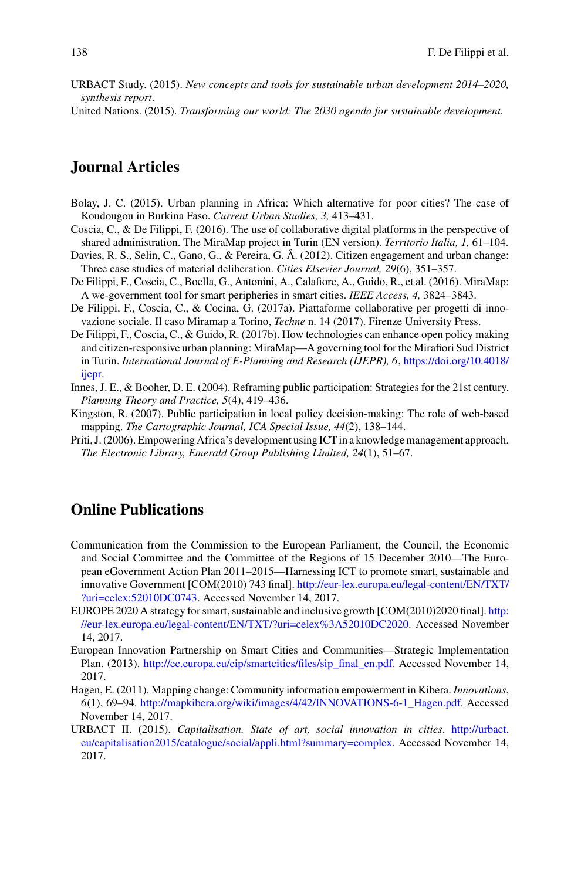- <span id="page-11-0"></span>URBACT Study. (2015). *New concepts and tools for sustainable urban development 2014–2020, synthesis report*.
- <span id="page-11-2"></span>United Nations. (2015). *Transforming our world: The 2030 agenda for sustainable development.*

### **Journal Articles**

- <span id="page-11-10"></span>Bolay, J. C. (2015). Urban planning in Africa: Which alternative for poor cities? The case of Koudougou in Burkina Faso. *Current Urban Studies, 3,* 413–431.
- <span id="page-11-15"></span>Coscia, C., & De Filippi, F. (2016). The use of collaborative digital platforms in the perspective of shared administration. The MiraMap project in Turin (EN version). *Territorio Italia, 1,* 61–104.
- <span id="page-11-7"></span>Davies, R. S., Selin, C., Gano, G., & Pereira, G. Â. (2012). Citizen engagement and urban change: Three case studies of material deliberation. *Cities Elsevier Journal, 29*(6), 351–357.
- <span id="page-11-11"></span>De Filippi, F., Coscia, C., Boella, G., Antonini, A., Calafiore, A., Guido, R., et al. (2016). MiraMap: A we-government tool for smart peripheries in smart cities. *IEEE Access, 4,* 3824–3843.
- <span id="page-11-14"></span>De Filippi, F., Coscia, C., & Cocina, G. (2017a). Piattaforme collaborative per progetti di innovazione sociale. Il caso Miramap a Torino, *Techne* n. 14 (2017). Firenze University Press.
- <span id="page-11-6"></span>De Filippi, F., Coscia, C., & Guido, R. (2017b). How technologies can enhance open policy making and citizen-responsive urban planning: MiraMap—A governing tool for the Mirafiori Sud District in Turin. *[International Journal of E-Planning and Research \(IJEPR\), 6](https://doi.org/10.4018/ijepr)*, https://doi.org/10.4018/ ijepr.
- <span id="page-11-8"></span>Innes, J. E., & Booher, D. E. (2004). Reframing public participation: Strategies for the 21st century. *Planning Theory and Practice, 5*(4), 419–436.
- <span id="page-11-13"></span>Kingston, R. (2007). Public participation in local policy decision-making: The role of web-based mapping. *The Cartographic Journal, ICA Special Issue, 44*(2), 138–144.
- <span id="page-11-9"></span>Priti, J. (2006). Empowering Africa's development using ICT in a knowledge management approach. *The Electronic Library, Emerald Group Publishing Limited, 24*(1), 51–67.

## **Online Publications**

- <span id="page-11-4"></span>Communication from the Commission to the European Parliament, the Council, the Economic and Social Committee and the Committee of the Regions of 15 December 2010—The European eGovernment Action Plan 2011–2015—Harnessing ICT to promote smart, sustainable and innovative Government [COM(2010) 743 final]. http://eur-lex.europa.eu/legal-content/EN/TXT/ [?uri=celex:52010DC0743. Accessed November 14, 2017.](http://eur-lex.europa.eu/legal-content/EN/TXT/%3furi%3dcelex:52010DC0743)
- <span id="page-11-3"></span>EUROPE 2020 A strategy for smart, sustainable and inclusive growth [COM(2010)2020 final]. http: [//eur-lex.europa.eu/legal-content/EN/TXT/?uri=celex%3A52010DC2020. Accessed November](http://eur-lex.europa.eu/legal-content/EN/TXT/%3furi%3dcelex%253A52010DC2020) 14, 2017.
- <span id="page-11-5"></span>European Innovation Partnership on Smart Cities and Communities—Strategic Implementation Plan. (2013). [http://ec.europa.eu/eip/smartcities/files/sip\\_final\\_en.pdf.](http://ec.europa.eu/eip/smartcities/files/sip_final_en.pdf) Accessed November 14, 2017.
- <span id="page-11-12"></span>Hagen, E. (2011). Mapping change: Community information empowerment in Kibera. *Innovations*, *6*(1), 69–94. [http://mapkibera.org/wiki/images/4/42/INNOVATIONS-6-1\\_Hagen.pdf.](http://mapkibera.org/wiki/images/4/42/INNOVATIONS-6-1_Hagen.pdf) Accessed November 14, 2017.
- <span id="page-11-1"></span>URBACT II. (2015). *Capitalisation. State of art, social innovation in cities*. http://urbact. [eu/capitalisation2015/catalogue/social/appli.html?summary=complex. Accessed November 14,](http://urbact.eu/capitalisation2015/catalogue/social/appli.html?summary=complex) 2017.